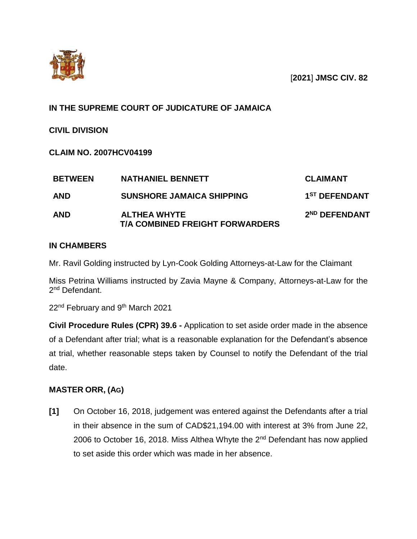

## **IN THE SUPREME COURT OF JUDICATURE OF JAMAICA**

**CIVIL DIVISION**

**CLAIM NO. 2007HCV04199**

| <b>BETWEEN</b> | <b>NATHANIEL BENNETT</b>                                      | <b>CLAIMANT</b>           |
|----------------|---------------------------------------------------------------|---------------------------|
| <b>AND</b>     | <b>SUNSHORE JAMAICA SHIPPING</b>                              | 1 <sup>ST</sup> DEFENDANT |
| <b>AND</b>     | <b>ALTHEA WHYTE</b><br><b>T/A COMBINED FREIGHT FORWARDERS</b> | 2 <sup>ND</sup> DEFENDANT |

## **IN CHAMBERS**

Mr. Ravil Golding instructed by Lyn-Cook Golding Attorneys-at-Law for the Claimant

Miss Petrina Williams instructed by Zavia Mayne & Company, Attorneys-at-Law for the 2<sup>nd</sup> Defendant.

22<sup>nd</sup> February and 9<sup>th</sup> March 2021

**Civil Procedure Rules (CPR) 39.6 -** Application to set aside order made in the absence of a Defendant after trial; what is a reasonable explanation for the Defendant's absence at trial, whether reasonable steps taken by Counsel to notify the Defendant of the trial date.

## **MASTER ORR, (AG)**

**[1]** On October 16, 2018, judgement was entered against the Defendants after a trial in their absence in the sum of CAD\$21,194.00 with interest at 3% from June 22, 2006 to October 16, 2018. Miss Althea Whyte the 2<sup>nd</sup> Defendant has now applied to set aside this order which was made in her absence.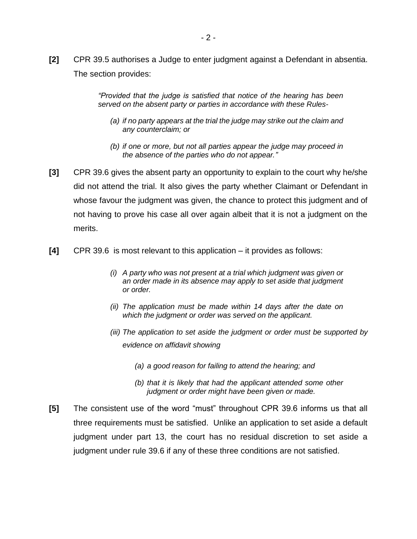**[2]** CPR 39.5 authorises a Judge to enter judgment against a Defendant in absentia. The section provides:

> *"Provided that the judge is satisfied that notice of the hearing has been served on the absent party or parties in accordance with these Rules-*

- *(a) if no party appears at the trial the judge may strike out the claim and any counterclaim; or*
- *(b) if one or more, but not all parties appear the judge may proceed in the absence of the parties who do not appear."*
- **[3]** CPR 39.6 gives the absent party an opportunity to explain to the court why he/she did not attend the trial. It also gives the party whether Claimant or Defendant in whose favour the judgment was given, the chance to protect this judgment and of not having to prove his case all over again albeit that it is not a judgment on the merits.
- **[4]** CPR 39.6 is most relevant to this application it provides as follows:
	- *(i) A party who was not present at a trial which judgment was given or an order made in its absence may apply to set aside that judgment or order.*
	- *(ii) The application must be made within 14 days after the date on which the judgment or order was served on the applicant.*
	- *(iii) The application to set aside the judgment or order must be supported by evidence on affidavit showing*
		- *(a) a good reason for failing to attend the hearing; and*
		- *(b) that it is likely that had the applicant attended some other judgment or order might have been given or made.*
- **[5]** The consistent use of the word "must" throughout CPR 39.6 informs us that all three requirements must be satisfied. Unlike an application to set aside a default judgment under part 13, the court has no residual discretion to set aside a judgment under rule 39.6 if any of these three conditions are not satisfied.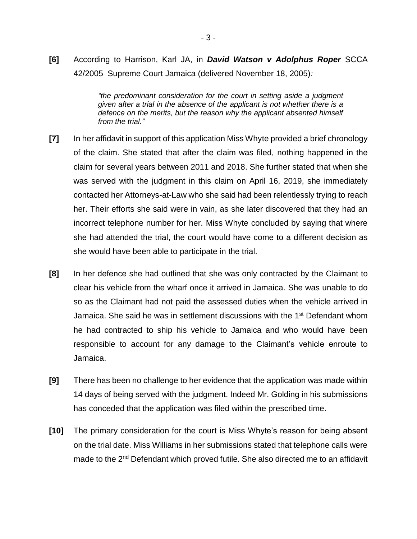**[6]** According to Harrison, Karl JA, in *David Watson v Adolphus Roper* SCCA 42/2005 Supreme Court Jamaica (delivered November 18, 2005)*:* 

> *"the predominant consideration for the court in setting aside a judgment given after a trial in the absence of the applicant is not whether there is a defence on the merits, but the reason why the applicant absented himself from the trial."*

- **[7]** In her affidavit in support of this application Miss Whyte provided a brief chronology of the claim. She stated that after the claim was filed, nothing happened in the claim for several years between 2011 and 2018. She further stated that when she was served with the judgment in this claim on April 16, 2019, she immediately contacted her Attorneys-at-Law who she said had been relentlessly trying to reach her. Their efforts she said were in vain, as she later discovered that they had an incorrect telephone number for her. Miss Whyte concluded by saying that where she had attended the trial, the court would have come to a different decision as she would have been able to participate in the trial.
- **[8]** In her defence she had outlined that she was only contracted by the Claimant to clear his vehicle from the wharf once it arrived in Jamaica. She was unable to do so as the Claimant had not paid the assessed duties when the vehicle arrived in Jamaica. She said he was in settlement discussions with the 1<sup>st</sup> Defendant whom he had contracted to ship his vehicle to Jamaica and who would have been responsible to account for any damage to the Claimant's vehicle enroute to Jamaica.
- **[9]** There has been no challenge to her evidence that the application was made within 14 days of being served with the judgment. Indeed Mr. Golding in his submissions has conceded that the application was filed within the prescribed time.
- **[10]** The primary consideration for the court is Miss Whyte's reason for being absent on the trial date. Miss Williams in her submissions stated that telephone calls were made to the 2<sup>nd</sup> Defendant which proved futile. She also directed me to an affidavit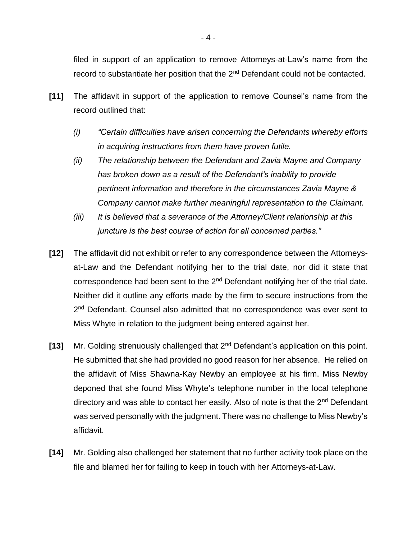filed in support of an application to remove Attorneys-at-Law's name from the record to substantiate her position that the 2<sup>nd</sup> Defendant could not be contacted.

- **[11]** The affidavit in support of the application to remove Counsel's name from the record outlined that:
	- *(i) "Certain difficulties have arisen concerning the Defendants whereby efforts in acquiring instructions from them have proven futile.*
	- *(ii) The relationship between the Defendant and Zavia Mayne and Company has broken down as a result of the Defendant's inability to provide pertinent information and therefore in the circumstances Zavia Mayne & Company cannot make further meaningful representation to the Claimant.*
	- *(iii) It is believed that a severance of the Attorney/Client relationship at this juncture is the best course of action for all concerned parties."*
- **[12]** The affidavit did not exhibit or refer to any correspondence between the Attorneysat-Law and the Defendant notifying her to the trial date, nor did it state that correspondence had been sent to the  $2<sup>nd</sup>$  Defendant notifying her of the trial date. Neither did it outline any efforts made by the firm to secure instructions from the 2<sup>nd</sup> Defendant. Counsel also admitted that no correspondence was ever sent to Miss Whyte in relation to the judgment being entered against her.
- **[13]** Mr. Golding strenuously challenged that 2nd Defendant's application on this point. He submitted that she had provided no good reason for her absence. He relied on the affidavit of Miss Shawna-Kay Newby an employee at his firm. Miss Newby deponed that she found Miss Whyte's telephone number in the local telephone directory and was able to contact her easily. Also of note is that the 2<sup>nd</sup> Defendant was served personally with the judgment. There was no challenge to Miss Newby's affidavit.
- **[14]** Mr. Golding also challenged her statement that no further activity took place on the file and blamed her for failing to keep in touch with her Attorneys-at-Law.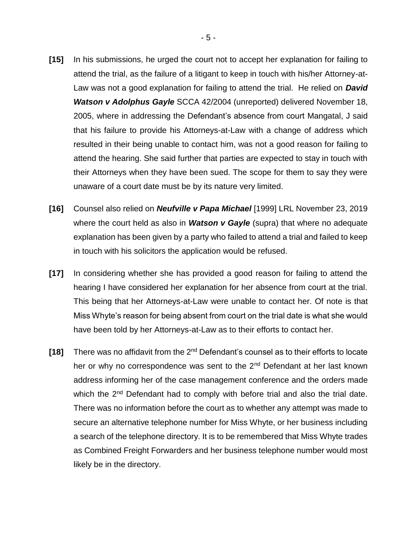- **[15]** In his submissions, he urged the court not to accept her explanation for failing to attend the trial, as the failure of a litigant to keep in touch with his/her Attorney-at-Law was not a good explanation for failing to attend the trial. He relied on *David Watson v Adolphus Gayle* SCCA 42/2004 (unreported) delivered November 18, 2005, where in addressing the Defendant's absence from court Mangatal, J said that his failure to provide his Attorneys-at-Law with a change of address which resulted in their being unable to contact him, was not a good reason for failing to attend the hearing. She said further that parties are expected to stay in touch with their Attorneys when they have been sued. The scope for them to say they were unaware of a court date must be by its nature very limited.
- **[16]** Counsel also relied on *Neufville v Papa Michael* [1999] LRL November 23, 2019 where the court held as also in *Watson v Gayle* (supra) that where no adequate explanation has been given by a party who failed to attend a trial and failed to keep in touch with his solicitors the application would be refused.
- **[17]** In considering whether she has provided a good reason for failing to attend the hearing I have considered her explanation for her absence from court at the trial. This being that her Attorneys-at-Law were unable to contact her. Of note is that Miss Whyte's reason for being absent from court on the trial date is what she would have been told by her Attorneys-at-Law as to their efforts to contact her.
- **[18]** There was no affidavit from the 2nd Defendant's counsel as to their efforts to locate her or why no correspondence was sent to the 2<sup>nd</sup> Defendant at her last known address informing her of the case management conference and the orders made which the 2<sup>nd</sup> Defendant had to comply with before trial and also the trial date. There was no information before the court as to whether any attempt was made to secure an alternative telephone number for Miss Whyte, or her business including a search of the telephone directory. It is to be remembered that Miss Whyte trades as Combined Freight Forwarders and her business telephone number would most likely be in the directory.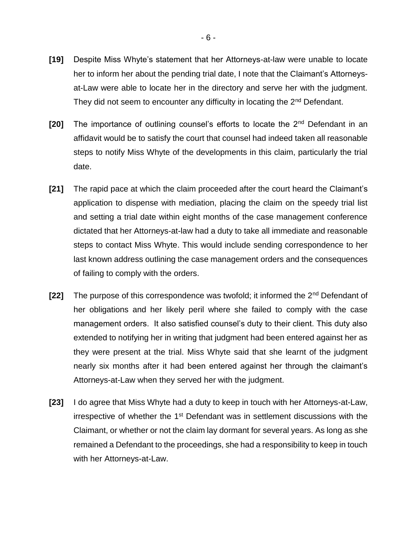- **[19]** Despite Miss Whyte's statement that her Attorneys-at-law were unable to locate her to inform her about the pending trial date, I note that the Claimant's Attorneysat-Law were able to locate her in the directory and serve her with the judgment. They did not seem to encounter any difficulty in locating the  $2<sup>nd</sup>$  Defendant.
- **[20]** The importance of outlining counsel's efforts to locate the 2<sup>nd</sup> Defendant in an affidavit would be to satisfy the court that counsel had indeed taken all reasonable steps to notify Miss Whyte of the developments in this claim, particularly the trial date.
- **[21]** The rapid pace at which the claim proceeded after the court heard the Claimant's application to dispense with mediation, placing the claim on the speedy trial list and setting a trial date within eight months of the case management conference dictated that her Attorneys-at-law had a duty to take all immediate and reasonable steps to contact Miss Whyte. This would include sending correspondence to her last known address outlining the case management orders and the consequences of failing to comply with the orders.
- **[22]** The purpose of this correspondence was twofold; it informed the 2nd Defendant of her obligations and her likely peril where she failed to comply with the case management orders. It also satisfied counsel's duty to their client. This duty also extended to notifying her in writing that judgment had been entered against her as they were present at the trial. Miss Whyte said that she learnt of the judgment nearly six months after it had been entered against her through the claimant's Attorneys-at-Law when they served her with the judgment.
- **[23]** I do agree that Miss Whyte had a duty to keep in touch with her Attorneys-at-Law, irrespective of whether the 1<sup>st</sup> Defendant was in settlement discussions with the Claimant, or whether or not the claim lay dormant for several years. As long as she remained a Defendant to the proceedings, she had a responsibility to keep in touch with her Attorneys-at-Law.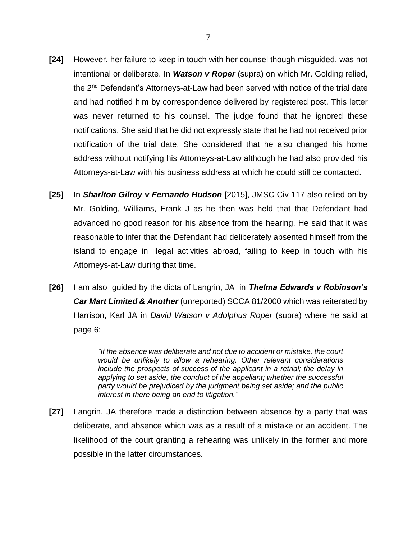- **[24]** However, her failure to keep in touch with her counsel though misguided, was not intentional or deliberate. In *Watson v Roper* (supra) on which Mr. Golding relied, the 2nd Defendant's Attorneys-at-Law had been served with notice of the trial date and had notified him by correspondence delivered by registered post. This letter was never returned to his counsel. The judge found that he ignored these notifications. She said that he did not expressly state that he had not received prior notification of the trial date. She considered that he also changed his home address without notifying his Attorneys-at-Law although he had also provided his Attorneys-at-Law with his business address at which he could still be contacted.
- **[25]** In *Sharlton Gilroy v Fernando Hudson* [2015], JMSC Civ 117 also relied on by Mr. Golding, Williams, Frank J as he then was held that that Defendant had advanced no good reason for his absence from the hearing. He said that it was reasonable to infer that the Defendant had deliberately absented himself from the island to engage in illegal activities abroad, failing to keep in touch with his Attorneys-at-Law during that time.
- **[26]** I am also guided by the dicta of Langrin, JA in *Thelma Edwards v Robinson's Car Mart Limited & Another* (unreported) SCCA 81/2000 which was reiterated by Harrison, Karl JA in *David Watson v Adolphus Roper* (supra) where he said at page 6:

*"If the absence was deliberate and not due to accident or mistake, the court would be unlikely to allow a rehearing. Other relevant considerations include the prospects of success of the applicant in a retrial; the delay in applying to set aside, the conduct of the appellant; whether the successful party would be prejudiced by the judgment being set aside; and the public interest in there being an end to litigation."*

**[27]** Langrin, JA therefore made a distinction between absence by a party that was deliberate, and absence which was as a result of a mistake or an accident. The likelihood of the court granting a rehearing was unlikely in the former and more possible in the latter circumstances.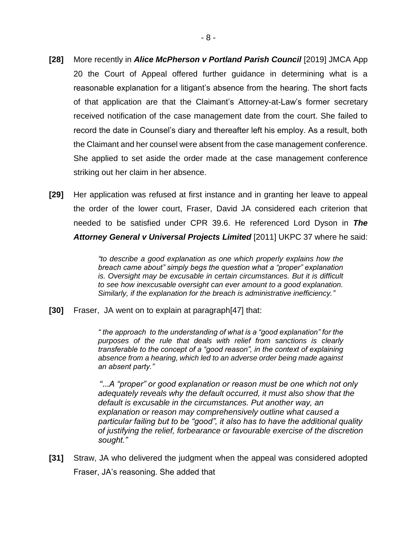- **[28]** More recently in *Alice McPherson v Portland Parish Council* [2019] JMCA App 20 the Court of Appeal offered further guidance in determining what is a reasonable explanation for a litigant's absence from the hearing. The short facts of that application are that the Claimant's Attorney-at-Law's former secretary received notification of the case management date from the court. She failed to record the date in Counsel's diary and thereafter left his employ. As a result, both the Claimant and her counsel were absent from the case management conference. She applied to set aside the order made at the case management conference striking out her claim in her absence.
- **[29]** Her application was refused at first instance and in granting her leave to appeal the order of the lower court, Fraser, David JA considered each criterion that needed to be satisfied under CPR 39.6. He referenced Lord Dyson in *The Attorney General v Universal Projects Limited* [2011] UKPC 37 where he said:

*"to describe a good explanation as one which properly explains how the breach came about" simply begs the question what a "proper" explanation is. Oversight may be excusable in certain circumstances. But it is difficult to see how inexcusable oversight can ever amount to a good explanation. Similarly, if the explanation for the breach is administrative inefficiency."*

**[30]** Fraser, JA went on to explain at paragraph[47] that:

*" the approach to the understanding of what is a "good explanation" for the purposes of the rule that deals with relief from sanctions is clearly transferable to the concept of a "good reason", in the context of explaining absence from a hearing, which led to an adverse order being made against an absent party."* 

*"…A "proper" or good explanation or reason must be one which not only adequately reveals why the default occurred, it must also show that the default is excusable in the circumstances. Put another way, an explanation or reason may comprehensively outline what caused a particular failing but to be "good", it also has to have the additional quality of justifying the relief, forbearance or favourable exercise of the discretion sought."*

**[31]** Straw, JA who delivered the judgment when the appeal was considered adopted Fraser, JA's reasoning. She added that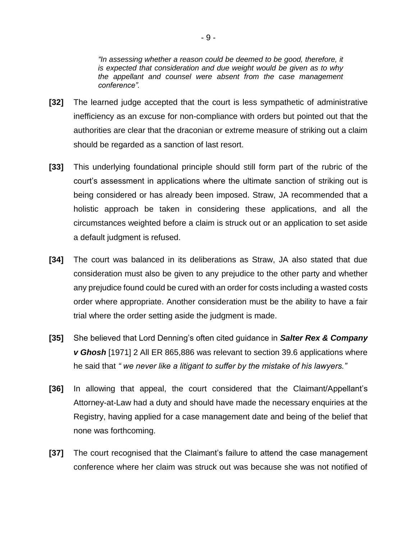*"In assessing whether a reason could be deemed to be good, therefore, it is expected that consideration and due weight would be given as to why the appellant and counsel were absent from the case management conference".*

- **[32]** The learned judge accepted that the court is less sympathetic of administrative inefficiency as an excuse for non-compliance with orders but pointed out that the authorities are clear that the draconian or extreme measure of striking out a claim should be regarded as a sanction of last resort.
- **[33]** This underlying foundational principle should still form part of the rubric of the court's assessment in applications where the ultimate sanction of striking out is being considered or has already been imposed. Straw, JA recommended that a holistic approach be taken in considering these applications, and all the circumstances weighted before a claim is struck out or an application to set aside a default judgment is refused.
- **[34]** The court was balanced in its deliberations as Straw, JA also stated that due consideration must also be given to any prejudice to the other party and whether any prejudice found could be cured with an order for costs including a wasted costs order where appropriate. Another consideration must be the ability to have a fair trial where the order setting aside the judgment is made.
- **[35]** She believed that Lord Denning's often cited guidance in *Salter Rex & Company v Ghosh* [1971] 2 All ER 865,886 was relevant to section 39.6 applications where he said that *" we never like a litigant to suffer by the mistake of his lawyers."*
- **[36]** In allowing that appeal, the court considered that the Claimant/Appellant's Attorney-at-Law had a duty and should have made the necessary enquiries at the Registry, having applied for a case management date and being of the belief that none was forthcoming.
- **[37]** The court recognised that the Claimant's failure to attend the case management conference where her claim was struck out was because she was not notified of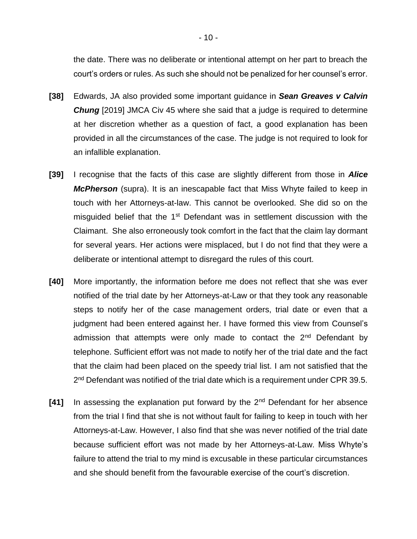the date. There was no deliberate or intentional attempt on her part to breach the court's orders or rules. As such she should not be penalized for her counsel's error.

- **[38]** Edwards, JA also provided some important guidance in *Sean Greaves v Calvin Chung* [2019] JMCA Civ 45 where she said that a judge is required to determine at her discretion whether as a question of fact, a good explanation has been provided in all the circumstances of the case. The judge is not required to look for an infallible explanation.
- **[39]** I recognise that the facts of this case are slightly different from those in *Alice McPherson* (supra). It is an inescapable fact that Miss Whyte failed to keep in touch with her Attorneys-at-law. This cannot be overlooked. She did so on the misguided belief that the  $1<sup>st</sup>$  Defendant was in settlement discussion with the Claimant. She also erroneously took comfort in the fact that the claim lay dormant for several years. Her actions were misplaced, but I do not find that they were a deliberate or intentional attempt to disregard the rules of this court.
- **[40]** More importantly, the information before me does not reflect that she was ever notified of the trial date by her Attorneys-at-Law or that they took any reasonable steps to notify her of the case management orders, trial date or even that a judgment had been entered against her. I have formed this view from Counsel's admission that attempts were only made to contact the  $2<sup>nd</sup>$  Defendant by telephone. Sufficient effort was not made to notify her of the trial date and the fact that the claim had been placed on the speedy trial list. I am not satisfied that the 2<sup>nd</sup> Defendant was notified of the trial date which is a requirement under CPR 39.5.
- **[41]** In assessing the explanation put forward by the 2nd Defendant for her absence from the trial I find that she is not without fault for failing to keep in touch with her Attorneys-at-Law. However, I also find that she was never notified of the trial date because sufficient effort was not made by her Attorneys-at-Law. Miss Whyte's failure to attend the trial to my mind is excusable in these particular circumstances and she should benefit from the favourable exercise of the court's discretion.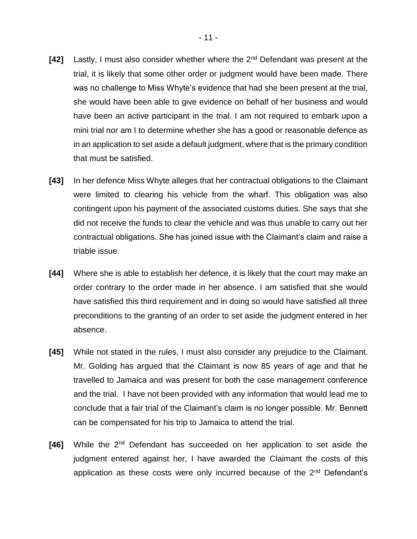- **[42]** Lastly, I must also consider whether where the 2nd Defendant was present at the trial, it is likely that some other order or judgment would have been made. There was no challenge to Miss Whyte's evidence that had she been present at the trial, she would have been able to give evidence on behalf of her business and would have been an active participant in the trial. I am not required to embark upon a mini trial nor am I to determine whether she has a good or reasonable defence as in an application to set aside a default judgment, where that is the primary condition that must be satisfied.
- **[43]** In her defence Miss Whyte alleges that her contractual obligations to the Claimant were limited to clearing his vehicle from the wharf. This obligation was also contingent upon his payment of the associated customs duties. She says that she did not receive the funds to clear the vehicle and was thus unable to carry out her contractual obligations. She has joined issue with the Claimant's claim and raise a triable issue.
- **[44]** Where she is able to establish her defence, it is likely that the court may make an order contrary to the order made in her absence. I am satisfied that she would have satisfied this third requirement and in doing so would have satisfied all three preconditions to the granting of an order to set aside the judgment entered in her absence.
- **[45]** While not stated in the rules, I must also consider any prejudice to the Claimant. Mr. Golding has argued that the Claimant is now 85 years of age and that he travelled to Jamaica and was present for both the case management conference and the trial. I have not been provided with any information that would lead me to conclude that a fair trial of the Claimant's claim is no longer possible. Mr. Bennett can be compensated for his trip to Jamaica to attend the trial.
- **[46]** While the 2nd Defendant has succeeded on her application to set aside the judgment entered against her, I have awarded the Claimant the costs of this application as these costs were only incurred because of the 2<sup>nd</sup> Defendant's